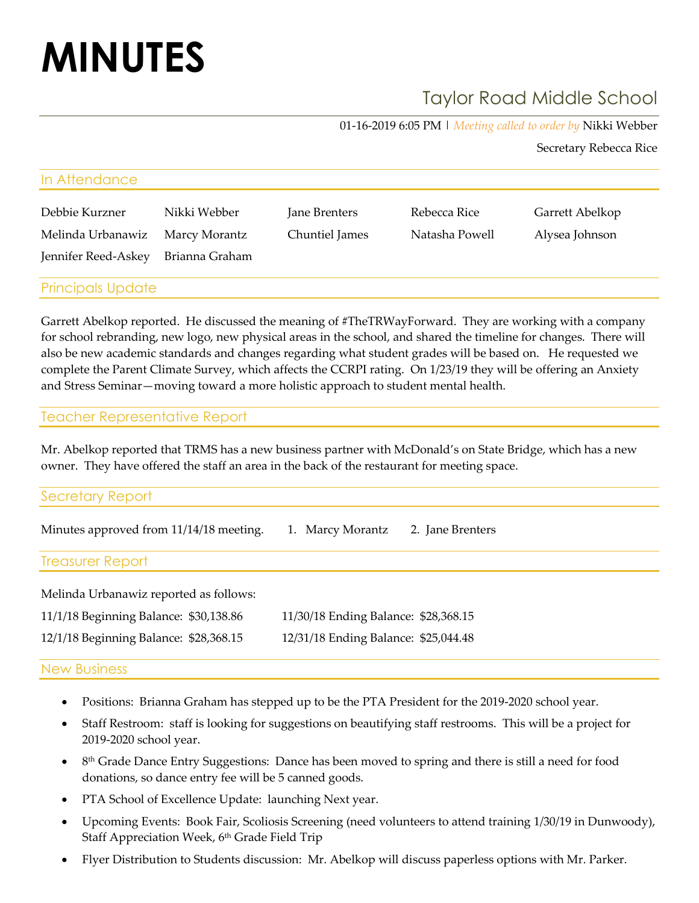# **MINUTES**

# Taylor Road Middle School

01-16-2019 6:05 PM | *Meeting called to order by* Nikki Webber

Secretary Rebecca Rice

| In Attendance            |                |                |                |                 |
|--------------------------|----------------|----------------|----------------|-----------------|
| Debbie Kurzner           | Nikki Webber   | Jane Brenters  | Rebecca Rice   | Garrett Abelkop |
| Melinda Urbanawiz        | Marcy Morantz  | Chuntiel James | Natasha Powell | Alysea Johnson  |
| Jennifer Reed-Askey      | Brianna Graham |                |                |                 |
| <b>Principals Update</b> |                |                |                |                 |

Garrett Abelkop reported. He discussed the meaning of #TheTRWayForward. They are working with a company for school rebranding, new logo, new physical areas in the school, and shared the timeline for changes. There will also be new academic standards and changes regarding what student grades will be based on. He requested we complete the Parent Climate Survey, which affects the CCRPI rating. On 1/23/19 they will be offering an Anxiety and Stress Seminar—moving toward a more holistic approach to student mental health.

#### Teacher Representative Report

Mr. Abelkop reported that TRMS has a new business partner with McDonald's on State Bridge, which has a new owner. They have offered the staff an area in the back of the restaurant for meeting space.

| Secretary Report |  |  |
|------------------|--|--|
|                  |  |  |

| Minutes approved from 11/14/18 meeting. 1. Marcy Morantz 2. Jane Brenters |  |
|---------------------------------------------------------------------------|--|
| <b>Treasurer Report</b>                                                   |  |

| Melinda Urbanawiz reported as follows: |                                      |  |  |  |
|----------------------------------------|--------------------------------------|--|--|--|
| 11/1/18 Beginning Balance: \$30,138.86 | 11/30/18 Ending Balance: \$28,368.15 |  |  |  |
| 12/1/18 Beginning Balance: \$28,368.15 | 12/31/18 Ending Balance: \$25,044.48 |  |  |  |

#### New Business

- Positions: Brianna Graham has stepped up to be the PTA President for the 2019-2020 school year.
- Staff Restroom: staff is looking for suggestions on beautifying staff restrooms. This will be a project for 2019-2020 school year.
- 8<sup>th</sup> Grade Dance Entry Suggestions: Dance has been moved to spring and there is still a need for food donations, so dance entry fee will be 5 canned goods.
- PTA School of Excellence Update: launching Next year.
- Upcoming Events: Book Fair, Scoliosis Screening (need volunteers to attend training 1/30/19 in Dunwoody), Staff Appreciation Week, 6<sup>th</sup> Grade Field Trip
- Flyer Distribution to Students discussion: Mr. Abelkop will discuss paperless options with Mr. Parker.